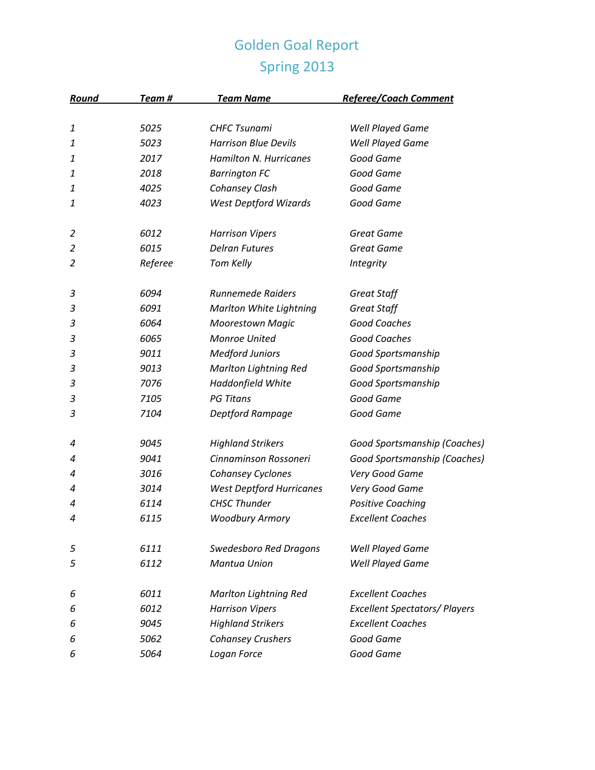## Golden Goal Report Spring 2013

| Round | Team #  | <b>Team Name</b>                | <b>Referee/Coach Comment</b>         |
|-------|---------|---------------------------------|--------------------------------------|
|       |         |                                 |                                      |
| 1     | 5025    | <b>CHFC Tsunami</b>             | <b>Well Played Game</b>              |
| 1     | 5023    | <b>Harrison Blue Devils</b>     | <b>Well Played Game</b>              |
| 1     | 2017    | Hamilton N. Hurricanes          | Good Game                            |
| 1     | 2018    | <b>Barrington FC</b>            | Good Game                            |
| 1     | 4025    | Cohansey Clash                  | Good Game                            |
| 1     | 4023    | <b>West Deptford Wizards</b>    | Good Game                            |
| 2     | 6012    | <b>Harrison Vipers</b>          | <b>Great Game</b>                    |
| 2     | 6015    | <b>Delran Futures</b>           | <b>Great Game</b>                    |
| 2     | Referee | Tom Kelly                       | <b>Integrity</b>                     |
| 3     | 6094    | <b>Runnemede Raiders</b>        | <b>Great Staff</b>                   |
| 3     | 6091    | <b>Marlton White Lightning</b>  | Great Staff                          |
| 3     | 6064    | <b>Moorestown Magic</b>         | <b>Good Coaches</b>                  |
| 3     | 6065    | <b>Monroe United</b>            | Good Coaches                         |
| 3     | 9011    | <b>Medford Juniors</b>          | Good Sportsmanship                   |
| 3     | 9013    | <b>Marlton Lightning Red</b>    | Good Sportsmanship                   |
| 3     | 7076    | Haddonfield White               | Good Sportsmanship                   |
| 3     | 7105    | <b>PG Titans</b>                | Good Game                            |
| 3     | 7104    | Deptford Rampage                | Good Game                            |
| 4     | 9045    | <b>Highland Strikers</b>        | Good Sportsmanship (Coaches)         |
| 4     | 9041    | Cinnaminson Rossoneri           | Good Sportsmanship (Coaches)         |
| 4     | 3016    | Cohansey Cyclones               | Very Good Game                       |
| 4     | 3014    | <b>West Deptford Hurricanes</b> | Very Good Game                       |
| 4     | 6114    | <b>CHSC Thunder</b>             | <b>Positive Coaching</b>             |
| 4     | 6115    | <b>Woodbury Armory</b>          | <b>Excellent Coaches</b>             |
| 5     | 6111    | <b>Swedesboro Red Dragons</b>   | <b>Well Played Game</b>              |
| 5     | 6112    | <b>Mantua Union</b>             | <b>Well Played Game</b>              |
| 6     | 6011    | <b>Marlton Lightning Red</b>    | <b>Excellent Coaches</b>             |
| 6     | 6012    | <b>Harrison Vipers</b>          | <b>Excellent Spectators/ Players</b> |
| 6     | 9045    | <b>Highland Strikers</b>        | <b>Excellent Coaches</b>             |
| 6     | 5062    | <b>Cohansey Crushers</b>        | Good Game                            |
| 6     | 5064    | Logan Force                     | Good Game                            |